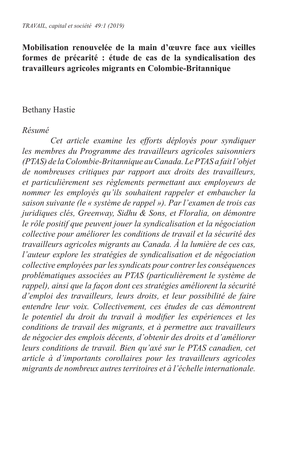## **Mobilisation renouvelée de la main d'œuvre face aux vieilles formes de précarité : étude de cas de la syndicalisation des travailleurs agricoles migrants en Colombie-Britannique**

## Bethany Hastie

#### *Résumé*

*Cet article examine les efforts déployés pour syndiquer les membres du Programme des travailleurs agricoles saisonniers (PTAS) de la Colombie-Britannique au Canada. Le PTAS a fait l'objet de nombreuses critiques par rapport aux droits des travailleurs, et particulièrement ses règlements permettant aux employeurs de nommer les employés qu'ils souhaitent rappeler et embaucher la saison suivante (le « système de rappel »). Par l'examen de trois cas juridiques clés, Greenway, Sidhu & Sons, et Floralia, on démontre le rôle positif que peuvent jouer la syndicalisation et la négociation collective pour améliorer les conditions de travail et la sécurité des travailleurs agricoles migrants au Canada. À la lumière de ces cas, l'auteur explore les stratégies de syndicalisation et de négociation collective employées par les syndicats pour contrer les conséquences problématiques associées au PTAS (particulièrement le système de rappel), ainsi que la façon dont ces stratégies améliorent la sécurité d'emploi des travailleurs, leurs droits, et leur possibilité de faire entendre leur voix. Collectivement, ces études de cas démontrent le potentiel du droit du travail à modifier les expériences et les conditions de travail des migrants, et à permettre aux travailleurs de négocier des emplois décents, d'obtenir des droits et d'améliorer leurs conditions de travail. Bien qu'axé sur le PTAS canadien, cet article à d'importants corollaires pour les travailleurs agricoles migrants de nombreux autres territoires et à l'échelle internationale.*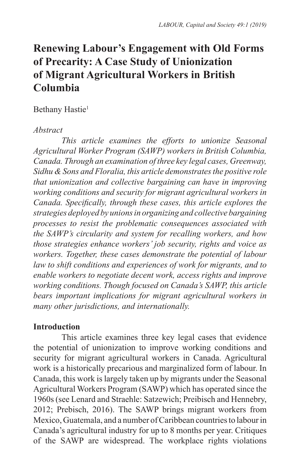# **Renewing Labour's Engagement with Old Forms of Precarity: A Case Study of Unionization of Migrant Agricultural Workers in British Columbia**

## Bethany Hastie<sup>1</sup>

## *Abstract*

*This article examines the efforts to unionize Seasonal Agricultural Worker Program (SAWP) workers in British Columbia, Canada. Through an examination of three key legal cases, Greenway, Sidhu & Sons and Floralia, this article demonstrates the positive role that unionization and collective bargaining can have in improving working conditions and security for migrant agricultural workers in Canada. Specifically, through these cases, this article explores the strategies deployed by unions in organizing and collective bargaining processes to resist the problematic consequences associated with the SAWP's circularity and system for recalling workers, and how those strategies enhance workers' job security, rights and voice as workers. Together, these cases demonstrate the potential of labour law to shift conditions and experiences of work for migrants, and to enable workers to negotiate decent work, access rights and improve working conditions. Though focused on Canada's SAWP, this article bears important implications for migrant agricultural workers in many other jurisdictions, and internationally.*

# **Introduction**

This article examines three key legal cases that evidence the potential of unionization to improve working conditions and security for migrant agricultural workers in Canada. Agricultural work is a historically precarious and marginalized form of labour. In Canada, this work is largely taken up by migrants under the Seasonal Agricultural Workers Program (SAWP) which has operated since the 1960s (see Lenard and Straehle: Satzewich; Preibisch and Hennebry, 2012; Prebisch, 2016). The SAWP brings migrant workers from Mexico, Guatemala, and a number of Caribbean countries to labour in Canada's agricultural industry for up to 8 months per year. Critiques of the SAWP are widespread. The workplace rights violations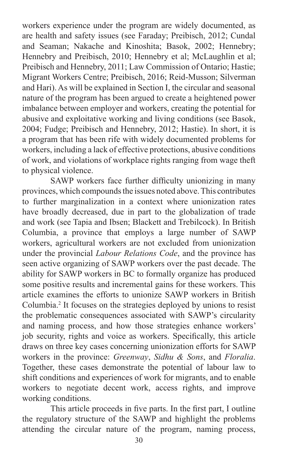workers experience under the program are widely documented, as are health and safety issues (see Faraday; Preibisch, 2012; Cundal and Seaman; Nakache and Kinoshita; Basok, 2002; Hennebry; Hennebry and Preibisch, 2010; Hennebry et al; McLaughlin et al; Preibisch and Hennebry, 2011; Law Commission of Ontario; Hastie; Migrant Workers Centre; Preibisch, 2016; Reid-Musson; Silverman and Hari). As will be explained in Section I, the circular and seasonal nature of the program has been argued to create a heightened power imbalance between employer and workers, creating the potential for abusive and exploitative working and living conditions (see Basok, 2004; Fudge; Preibisch and Hennebry, 2012; Hastie). In short, it is a program that has been rife with widely documented problems for workers, including a lack of effective protections, abusive conditions of work, and violations of workplace rights ranging from wage theft to physical violence.

SAWP workers face further difficulty unionizing in many provinces, which compounds the issues noted above. This contributes to further marginalization in a context where unionization rates have broadly decreased, due in part to the globalization of trade and work (see Tapia and Ibsen; Blackett and Trebilcock). In British Columbia, a province that employs a large number of SAWP workers, agricultural workers are not excluded from unionization under the provincial *Labour Relations Code*, and the province has seen active organizing of SAWP workers over the past decade. The ability for SAWP workers in BC to formally organize has produced some positive results and incremental gains for these workers. This article examines the efforts to unionize SAWP workers in British Columbia.2 It focuses on the strategies deployed by unions to resist the problematic consequences associated with SAWP's circularity and naming process, and how those strategies enhance workers' job security, rights and voice as workers. Specifically, this article draws on three key cases concerning unionization efforts for SAWP workers in the province: *Greenway*, *Sidhu & Sons*, and *Floralia*. Together, these cases demonstrate the potential of labour law to shift conditions and experiences of work for migrants, and to enable workers to negotiate decent work, access rights, and improve working conditions.

This article proceeds in five parts. In the first part, I outline the regulatory structure of the SAWP and highlight the problems attending the circular nature of the program, naming process,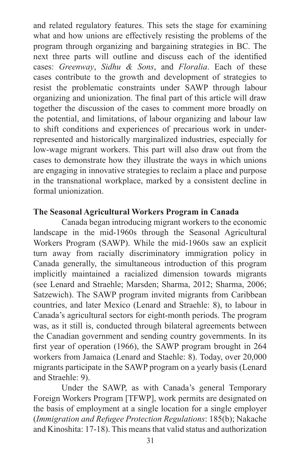and related regulatory features. This sets the stage for examining what and how unions are effectively resisting the problems of the program through organizing and bargaining strategies in BC. The next three parts will outline and discuss each of the identified cases: *Greenway*, *Sidhu & Sons*, and *Floralia*. Each of these cases contribute to the growth and development of strategies to resist the problematic constraints under SAWP through labour organizing and unionization. The final part of this article will draw together the discussion of the cases to comment more broadly on the potential, and limitations, of labour organizing and labour law to shift conditions and experiences of precarious work in underrepresented and historically marginalized industries, especially for low-wage migrant workers. This part will also draw out from the cases to demonstrate how they illustrate the ways in which unions are engaging in innovative strategies to reclaim a place and purpose in the transnational workplace, marked by a consistent decline in formal unionization.

## **The Seasonal Agricultural Workers Program in Canada**

Canada began introducing migrant workers to the economic landscape in the mid-1960s through the Seasonal Agricultural Workers Program (SAWP). While the mid-1960s saw an explicit turn away from racially discriminatory immigration policy in Canada generally, the simultaneous introduction of this program implicitly maintained a racialized dimension towards migrants (see Lenard and Straehle; Marsden; Sharma, 2012; Sharma, 2006; Satzewich). The SAWP program invited migrants from Caribbean countries, and later Mexico (Lenard and Straehle: 8), to labour in Canada's agricultural sectors for eight-month periods. The program was, as it still is, conducted through bilateral agreements between the Canadian government and sending country governments. In its first year of operation (1966), the SAWP program brought in 264 workers from Jamaica (Lenard and Staehle: 8). Today, over 20,000 migrants participate in the SAWP program on a yearly basis (Lenard and Straehle: 9).

Under the SAWP, as with Canada's general Temporary Foreign Workers Program [TFWP], work permits are designated on the basis of employment at a single location for a single employer (*Immigration and Refugee Protection Regulations*: 185(b); Nakache and Kinoshita: 17-18). This means that valid status and authorization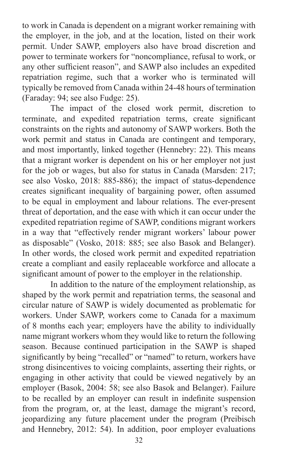to work in Canada is dependent on a migrant worker remaining with the employer, in the job, and at the location, listed on their work permit. Under SAWP, employers also have broad discretion and power to terminate workers for "noncompliance, refusal to work, or any other sufficient reason", and SAWP also includes an expedited repatriation regime, such that a worker who is terminated will typically be removed from Canada within 24-48 hours of termination (Faraday: 94; see also Fudge: 25).

The impact of the closed work permit, discretion to terminate, and expedited repatriation terms, create significant constraints on the rights and autonomy of SAWP workers. Both the work permit and status in Canada are contingent and temporary, and most importantly, linked together (Hennebry: 22). This means that a migrant worker is dependent on his or her employer not just for the job or wages, but also for status in Canada (Marsden: 217; see also Vosko, 2018: 885-886); the impact of status-dependence creates significant inequality of bargaining power, often assumed to be equal in employment and labour relations. The ever-present threat of deportation, and the ease with which it can occur under the expedited repatriation regime of SAWP, conditions migrant workers in a way that "effectively render migrant workers' labour power as disposable" (Vosko, 2018: 885; see also Basok and Belanger). In other words, the closed work permit and expedited repatriation create a compliant and easily replaceable workforce and allocate a significant amount of power to the employer in the relationship.

In addition to the nature of the employment relationship, as shaped by the work permit and repatriation terms, the seasonal and circular nature of SAWP is widely documented as problematic for workers. Under SAWP, workers come to Canada for a maximum of 8 months each year; employers have the ability to individually name migrant workers whom they would like to return the following season. Because continued participation in the SAWP is shaped significantly by being "recalled" or "named" to return, workers have strong disincentives to voicing complaints, asserting their rights, or engaging in other activity that could be viewed negatively by an employer (Basok, 2004: 58; see also Basok and Belanger). Failure to be recalled by an employer can result in indefinite suspension from the program, or, at the least, damage the migrant's record, jeopardizing any future placement under the program (Preibisch and Hennebry, 2012: 54). In addition, poor employer evaluations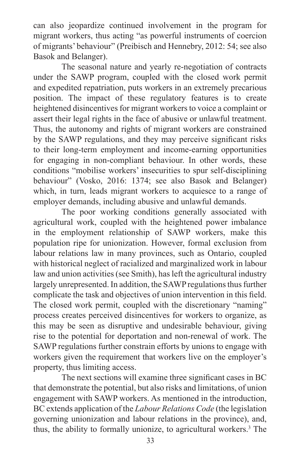can also jeopardize continued involvement in the program for migrant workers, thus acting "as powerful instruments of coercion of migrants' behaviour" (Preibisch and Hennebry, 2012: 54; see also Basok and Belanger).

The seasonal nature and yearly re-negotiation of contracts under the SAWP program, coupled with the closed work permit and expedited repatriation, puts workers in an extremely precarious position. The impact of these regulatory features is to create heightened disincentives for migrant workers to voice a complaint or assert their legal rights in the face of abusive or unlawful treatment. Thus, the autonomy and rights of migrant workers are constrained by the SAWP regulations, and they may perceive significant risks to their long-term employment and income-earning opportunities for engaging in non-compliant behaviour. In other words, these conditions "mobilise workers' insecurities to spur self-disciplining behaviour" (Vosko, 2016: 1374; see also Basok and Belanger) which, in turn, leads migrant workers to acquiesce to a range of employer demands, including abusive and unlawful demands.

The poor working conditions generally associated with agricultural work, coupled with the heightened power imbalance in the employment relationship of SAWP workers, make this population ripe for unionization. However, formal exclusion from labour relations law in many provinces, such as Ontario, coupled with historical neglect of racialized and marginalized work in labour law and union activities (see Smith), has left the agricultural industry largely unrepresented. In addition, the SAWP regulations thus further complicate the task and objectives of union intervention in this field. The closed work permit, coupled with the discretionary "naming" process creates perceived disincentives for workers to organize, as this may be seen as disruptive and undesirable behaviour, giving rise to the potential for deportation and non-renewal of work. The SAWP regulations further constrain efforts by unions to engage with workers given the requirement that workers live on the employer's property, thus limiting access.

The next sections will examine three significant cases in BC that demonstrate the potential, but also risks and limitations, of union engagement with SAWP workers. As mentioned in the introduction, BC extends application of the *Labour Relations Code* (the legislation governing unionization and labour relations in the province), and, thus, the ability to formally unionize, to agricultural workers.3 The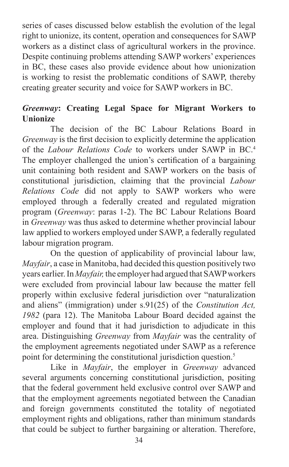series of cases discussed below establish the evolution of the legal right to unionize, its content, operation and consequences for SAWP workers as a distinct class of agricultural workers in the province. Despite continuing problems attending SAWP workers' experiences in BC, these cases also provide evidence about how unionization is working to resist the problematic conditions of SAWP, thereby creating greater security and voice for SAWP workers in BC.

# *Greenway***: Creating Legal Space for Migrant Workers to Unionize**

The decision of the BC Labour Relations Board in *Greenway* is the first decision to explicitly determine the application of the *Labour Relations Code* to workers under SAWP in BC.4 The employer challenged the union's certification of a bargaining unit containing both resident and SAWP workers on the basis of constitutional jurisdiction, claiming that the provincial *Labour Relations Code* did not apply to SAWP workers who were employed through a federally created and regulated migration program (*Greenway*: paras 1-2). The BC Labour Relations Board in *Greenway* was thus asked to determine whether provincial labour law applied to workers employed under SAWP, a federally regulated labour migration program.

On the question of applicability of provincial labour law, *Mayfair*, a case in Manitoba, had decided this question positively two years earlier. In *Mayfair,* the employer had argued that SAWP workers were excluded from provincial labour law because the matter fell properly within exclusive federal jurisdiction over "naturalization and aliens" (immigration) under s.91(25) of the *Constitution Act, 1982* (para 12). The Manitoba Labour Board decided against the employer and found that it had jurisdiction to adjudicate in this area. Distinguishing *Greenway* from *Mayfair* was the centrality of the employment agreements negotiated under SAWP as a reference point for determining the constitutional jurisdiction question.<sup>5</sup>

Like in *Mayfair*, the employer in *Greenway* advanced several arguments concerning constitutional jurisdiction, positing that the federal government held exclusive control over SAWP and that the employment agreements negotiated between the Canadian and foreign governments constituted the totality of negotiated employment rights and obligations, rather than minimum standards that could be subject to further bargaining or alteration. Therefore,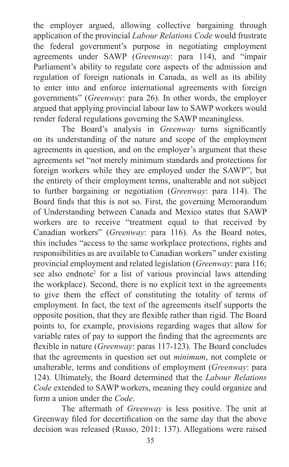the employer argued, allowing collective bargaining through application of the provincial *Labour Relations Code* would frustrate the federal government's purpose in negotiating employment agreements under SAWP (*Greenway*: para 114), and "impair Parliament's ability to regulate core aspects of the admission and regulation of foreign nationals in Canada, as well as its ability to enter into and enforce international agreements with foreign governments" (*Greenway*: para 26). In other words, the employer argued that applying provincial labour law to SAWP workers would render federal regulations governing the SAWP meaningless.

The Board's analysis in *Greenway* turns significantly on its understanding of the nature and scope of the employment agreements in question, and on the employer's argument that these agreements set "not merely minimum standards and protections for foreign workers while they are employed under the SAWP", but the entirety of their employment terms, unalterable and not subject to further bargaining or negotiation (*Greenway*: para 114). The Board finds that this is not so. First, the governing Memorandum of Understanding between Canada and Mexico states that SAWP workers are to receive "treatment equal to that received by Canadian workers" (*Greenway*: para 116). As the Board notes, this includes "access to the same workplace protections, rights and responsibilities as are available to Canadian workers" under existing provincial employment and related legislation (*Greenway*: para 116; see also endnote<sup>2</sup> for a list of various provincial laws attending the workplace). Second, there is no explicit text in the agreements to give them the effect of constituting the totality of terms of employment. In fact, the text of the agreements itself supports the opposite position, that they are flexible rather than rigid. The Board points to, for example, provisions regarding wages that allow for variable rates of pay to support the finding that the agreements are flexible in nature (*Greenway*: paras 117-123). The Board concludes that the agreements in question set out *minimum*, not complete or unalterable, terms and conditions of employment (*Greenway*: para 124). Ultimately, the Board determined that the *Labour Relations Code* extended to SAWP workers, meaning they could organize and form a union under the *Code*.

The aftermath of *Greenway* is less positive. The unit at Greenway filed for decertification on the same day that the above decision was released (Russo, 2011: 137). Allegations were raised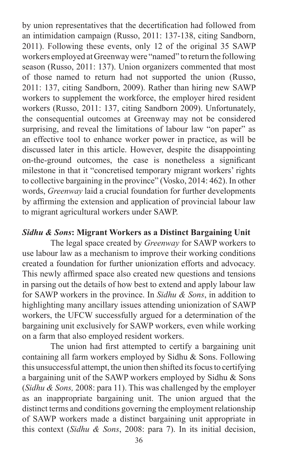by union representatives that the decertification had followed from an intimidation campaign (Russo, 2011: 137-138, citing Sandborn, 2011). Following these events, only 12 of the original 35 SAWP workers employed at Greenway were "named" to return the following season (Russo, 2011: 137). Union organizers commented that most of those named to return had not supported the union (Russo, 2011: 137, citing Sandborn, 2009). Rather than hiring new SAWP workers to supplement the workforce, the employer hired resident workers (Russo, 2011: 137, citing Sandborn 2009). Unfortunately, the consequential outcomes at Greenway may not be considered surprising, and reveal the limitations of labour law "on paper" as an effective tool to enhance worker power in practice, as will be discussed later in this article. However, despite the disappointing on-the-ground outcomes, the case is nonetheless a significant milestone in that it "concretised temporary migrant workers' rights to collective bargaining in the province" (Vosko, 2014: 462). In other words, *Greenway* laid a crucial foundation for further developments by affirming the extension and application of provincial labour law to migrant agricultural workers under SAWP.

### *Sidhu & Sons***: Migrant Workers as a Distinct Bargaining Unit**

The legal space created by *Greenway* for SAWP workers to use labour law as a mechanism to improve their working conditions created a foundation for further unionization efforts and advocacy. This newly affirmed space also created new questions and tensions in parsing out the details of how best to extend and apply labour law for SAWP workers in the province. In *Sidhu & Sons*, in addition to highlighting many ancillary issues attending unionization of SAWP workers, the UFCW successfully argued for a determination of the bargaining unit exclusively for SAWP workers, even while working on a farm that also employed resident workers.

The union had first attempted to certify a bargaining unit containing all farm workers employed by Sidhu & Sons. Following this unsuccessful attempt, the union then shifted its focus to certifying a bargaining unit of the SAWP workers employed by Sidhu & Sons (*Sidhu & Sons,* 2008: para 11). This was challenged by the employer as an inappropriate bargaining unit. The union argued that the distinct terms and conditions governing the employment relationship of SAWP workers made a distinct bargaining unit appropriate in this context (*Sidhu & Sons*, 2008: para 7). In its initial decision,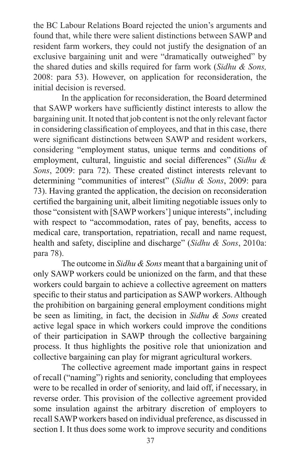the BC Labour Relations Board rejected the union's arguments and found that, while there were salient distinctions between SAWP and resident farm workers, they could not justify the designation of an exclusive bargaining unit and were "dramatically outweighed" by the shared duties and skills required for farm work (*Sidhu & Sons,*  2008: para 53). However, on application for reconsideration, the initial decision is reversed.

In the application for reconsideration, the Board determined that SAWP workers have sufficiently distinct interests to allow the bargaining unit. It noted that job content is not the only relevant factor in considering classification of employees, and that in this case, there were significant distinctions between SAWP and resident workers, considering "employment status, unique terms and conditions of employment, cultural, linguistic and social differences" (*Sidhu & Sons*, 2009: para 72). These created distinct interests relevant to determining "communities of interest" (*Sidhu & Sons*, 2009: para 73). Having granted the application, the decision on reconsideration certified the bargaining unit, albeit limiting negotiable issues only to those "consistent with [SAWP workers'] unique interests", including with respect to "accommodation, rates of pay, benefits, access to medical care, transportation, repatriation, recall and name request, health and safety, discipline and discharge" (*Sidhu & Sons*, 2010a: para 78).

The outcome in *Sidhu & Sons* meant that a bargaining unit of only SAWP workers could be unionized on the farm, and that these workers could bargain to achieve a collective agreement on matters specific to their status and participation as SAWP workers. Although the prohibition on bargaining general employment conditions might be seen as limiting, in fact, the decision in *Sidhu & Sons* created active legal space in which workers could improve the conditions of their participation in SAWP through the collective bargaining process. It thus highlights the positive role that unionization and collective bargaining can play for migrant agricultural workers.

The collective agreement made important gains in respect of recall ("naming") rights and seniority, concluding that employees were to be recalled in order of seniority, and laid off, if necessary, in reverse order. This provision of the collective agreement provided some insulation against the arbitrary discretion of employers to recall SAWP workers based on individual preference, as discussed in section I. It thus does some work to improve security and conditions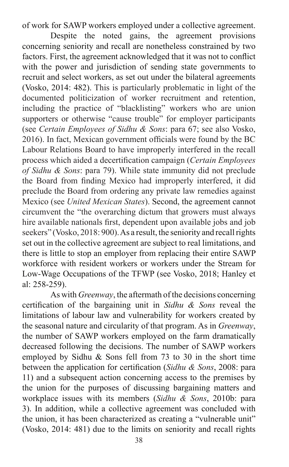of work for SAWP workers employed under a collective agreement.

Despite the noted gains, the agreement provisions concerning seniority and recall are nonetheless constrained by two factors. First, the agreement acknowledged that it was not to conflict with the power and jurisdiction of sending state governments to recruit and select workers, as set out under the bilateral agreements (Vosko, 2014: 482). This is particularly problematic in light of the documented politicization of worker recruitment and retention, including the practice of "blacklisting" workers who are union supporters or otherwise "cause trouble" for employer participants (see *Certain Employees of Sidhu & Sons*: para 67; see also Vosko, 2016). In fact, Mexican government officials were found by the BC Labour Relations Board to have improperly interfered in the recall process which aided a decertification campaign (*Certain Employees of Sidhu & Sons*: para 79). While state immunity did not preclude the Board from finding Mexico had improperly interfered, it did preclude the Board from ordering any private law remedies against Mexico (see *United Mexican States*). Second, the agreement cannot circumvent the "the overarching dictum that growers must always hire available nationals first, dependent upon available jobs and job seekers" (Vosko, 2018: 900). As a result, the seniority and recall rights set out in the collective agreement are subject to real limitations, and there is little to stop an employer from replacing their entire SAWP workforce with resident workers or workers under the Stream for Low-Wage Occupations of the TFWP (see Vosko, 2018; Hanley et al: 258-259).

As with *Greenway*, the aftermath of the decisions concerning certification of the bargaining unit in *Sidhu & Sons* reveal the limitations of labour law and vulnerability for workers created by the seasonal nature and circularity of that program. As in *Greenway*, the number of SAWP workers employed on the farm dramatically decreased following the decisions. The number of SAWP workers employed by Sidhu & Sons fell from 73 to 30 in the short time between the application for certification (*Sidhu & Sons*, 2008: para 11) and a subsequent action concerning access to the premises by the union for the purposes of discussing bargaining matters and workplace issues with its members (*Sidhu & Sons*, 2010b: para 3). In addition, while a collective agreement was concluded with the union, it has been characterized as creating a "vulnerable unit" (Vosko, 2014: 481) due to the limits on seniority and recall rights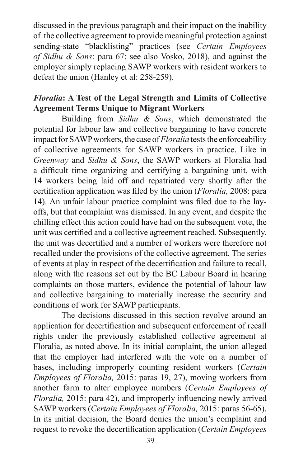discussed in the previous paragraph and their impact on the inability of the collective agreement to provide meaningful protection against sending-state "blacklisting" practices (see *Certain Employees of Sidhu & Sons*: para 67; see also Vosko, 2018), and against the employer simply replacing SAWP workers with resident workers to defeat the union (Hanley et al: 258-259).

# *Floralia***: A Test of the Legal Strength and Limits of Collective Agreement Terms Unique to Migrant Workers**

Building from *Sidhu & Sons*, which demonstrated the potential for labour law and collective bargaining to have concrete impact for SAWP workers, the case of *Floralia* tests the enforceability of collective agreements for SAWP workers in practice. Like in *Greenway* and *Sidhu & Sons*, the SAWP workers at Floralia had a difficult time organizing and certifying a bargaining unit, with 14 workers being laid off and repatriated very shortly after the certification application was filed by the union (*Floralia,* 2008: para 14). An unfair labour practice complaint was filed due to the layoffs, but that complaint was dismissed. In any event, and despite the chilling effect this action could have had on the subsequent vote, the unit was certified and a collective agreement reached. Subsequently, the unit was decertified and a number of workers were therefore not recalled under the provisions of the collective agreement. The series of events at play in respect of the decertification and failure to recall, along with the reasons set out by the BC Labour Board in hearing complaints on those matters, evidence the potential of labour law and collective bargaining to materially increase the security and conditions of work for SAWP participants.

The decisions discussed in this section revolve around an application for decertification and subsequent enforcement of recall rights under the previously established collective agreement at Floralia, as noted above. In its initial complaint, the union alleged that the employer had interfered with the vote on a number of bases, including improperly counting resident workers (*Certain Employees of Floralia,* 2015: paras 19, 27), moving workers from another farm to alter employee numbers (*Certain Employees of Floralia,* 2015: para 42), and improperly influencing newly arrived SAWP workers (*Certain Employees of Floralia,* 2015: paras 56-65). In its initial decision, the Board denies the union's complaint and request to revoke the decertification application (*Certain Employees*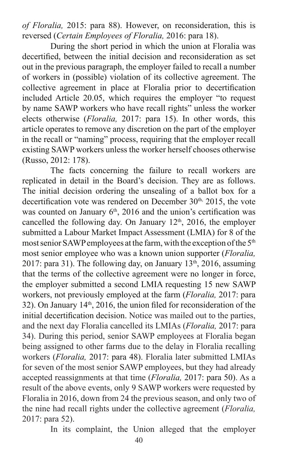*of Floralia,* 2015: para 88). However, on reconsideration, this is reversed (*Certain Employees of Floralia,* 2016: para 18).

During the short period in which the union at Floralia was decertified, between the initial decision and reconsideration as set out in the previous paragraph, the employer failed to recall a number of workers in (possible) violation of its collective agreement. The collective agreement in place at Floralia prior to decertification included Article 20.05, which requires the employer "to request by name SAWP workers who have recall rights" unless the worker elects otherwise (*Floralia,* 2017: para 15). In other words, this article operates to remove any discretion on the part of the employer in the recall or "naming" process, requiring that the employer recall existing SAWP workers unless the worker herself chooses otherwise (Russo, 2012: 178).

The facts concerning the failure to recall workers are replicated in detail in the Board's decision. They are as follows. The initial decision ordering the unsealing of a ballot box for a decertification vote was rendered on December  $30<sup>th</sup>$ ,  $2015$ , the vote was counted on January  $6<sup>th</sup>$ , 2016 and the union's certification was cancelled the following day. On January  $12<sup>th</sup>$ ,  $2016$ , the employer submitted a Labour Market Impact Assessment (LMIA) for 8 of the most senior SAWP employees at the farm, with the exception of the 5<sup>th</sup> most senior employee who was a known union supporter (*Floralia,* 2017: para 31). The following day, on January  $13<sup>th</sup>$ , 2016, assuming that the terms of the collective agreement were no longer in force, the employer submitted a second LMIA requesting 15 new SAWP workers, not previously employed at the farm (*Floralia,* 2017: para 32). On January  $14<sup>th</sup>$ , 2016, the union filed for reconsideration of the initial decertification decision. Notice was mailed out to the parties, and the next day Floralia cancelled its LMIAs (*Floralia,* 2017: para 34). During this period, senior SAWP employees at Floralia began being assigned to other farms due to the delay in Floralia recalling workers (*Floralia,* 2017: para 48). Floralia later submitted LMIAs for seven of the most senior SAWP employees, but they had already accepted reassignments at that time (*Floralia,* 2017: para 50). As a result of the above events, only 9 SAWP workers were requested by Floralia in 2016, down from 24 the previous season, and only two of the nine had recall rights under the collective agreement (*Floralia,* 2017: para 52).

In its complaint, the Union alleged that the employer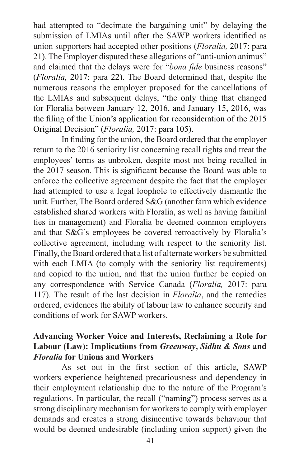had attempted to "decimate the bargaining unit" by delaying the submission of LMIAs until after the SAWP workers identified as union supporters had accepted other positions (*Floralia,* 2017: para 21). The Employer disputed these allegations of "anti-union animus" and claimed that the delays were for "*bona fide* business reasons" (*Floralia,* 2017: para 22). The Board determined that, despite the numerous reasons the employer proposed for the cancellations of the LMIAs and subsequent delays, "the only thing that changed for Floralia between January 12, 2016, and January 15, 2016, was the filing of the Union's application for reconsideration of the 2015 Original Decision" (*Floralia,* 2017: para 105).

In finding for the union, the Board ordered that the employer return to the 2016 seniority list concerning recall rights and treat the employees' terms as unbroken, despite most not being recalled in the 2017 season. This is significant because the Board was able to enforce the collective agreement despite the fact that the employer had attempted to use a legal loophole to effectively dismantle the unit. Further, The Board ordered S&G (another farm which evidence established shared workers with Floralia, as well as having familial ties in management) and Floralia be deemed common employers and that S&G's employees be covered retroactively by Floralia's collective agreement, including with respect to the seniority list. Finally, the Board ordered that a list of alternate workers be submitted with each LMIA (to comply with the seniority list requirements) and copied to the union, and that the union further be copied on any correspondence with Service Canada (*Floralia,* 2017: para 117). The result of the last decision in *Floralia*, and the remedies ordered, evidences the ability of labour law to enhance security and conditions of work for SAWP workers.

## **Advancing Worker Voice and Interests, Reclaiming a Role for Labour (Law): Implications from** *Greenway***,** *Sidhu & Sons* **and**  *Floralia* **for Unions and Workers**

As set out in the first section of this article, SAWP workers experience heightened precariousness and dependency in their employment relationship due to the nature of the Program's regulations. In particular, the recall ("naming") process serves as a strong disciplinary mechanism for workers to comply with employer demands and creates a strong disincentive towards behaviour that would be deemed undesirable (including union support) given the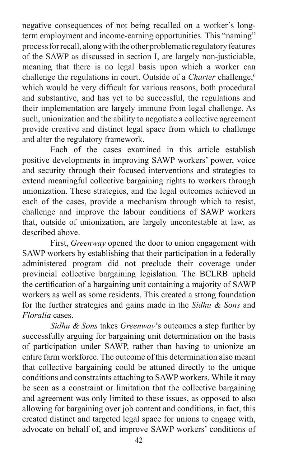negative consequences of not being recalled on a worker's longterm employment and income-earning opportunities. This "naming" process for recall, along with the other problematic regulatory features of the SAWP as discussed in section I, are largely non-justiciable, meaning that there is no legal basis upon which a worker can challenge the regulations in court. Outside of a *Charter* challenge.<sup>6</sup> which would be very difficult for various reasons, both procedural and substantive, and has yet to be successful, the regulations and their implementation are largely immune from legal challenge. As such, unionization and the ability to negotiate a collective agreement provide creative and distinct legal space from which to challenge and alter the regulatory framework.

Each of the cases examined in this article establish positive developments in improving SAWP workers' power, voice and security through their focused interventions and strategies to extend meaningful collective bargaining rights to workers through unionization. These strategies, and the legal outcomes achieved in each of the cases, provide a mechanism through which to resist, challenge and improve the labour conditions of SAWP workers that, outside of unionization, are largely uncontestable at law, as described above.

First, *Greenway* opened the door to union engagement with SAWP workers by establishing that their participation in a federally administered program did not preclude their coverage under provincial collective bargaining legislation. The BCLRB upheld the certification of a bargaining unit containing a majority of SAWP workers as well as some residents. This created a strong foundation for the further strategies and gains made in the *Sidhu & Sons* and *Floralia* cases.

*Sidhu & Sons* takes *Greenway*'s outcomes a step further by successfully arguing for bargaining unit determination on the basis of participation under SAWP, rather than having to unionize an entire farm workforce. The outcome of this determination also meant that collective bargaining could be attuned directly to the unique conditions and constraints attaching to SAWP workers. While it may be seen as a constraint or limitation that the collective bargaining and agreement was only limited to these issues, as opposed to also allowing for bargaining over job content and conditions, in fact, this created distinct and targeted legal space for unions to engage with, advocate on behalf of, and improve SAWP workers' conditions of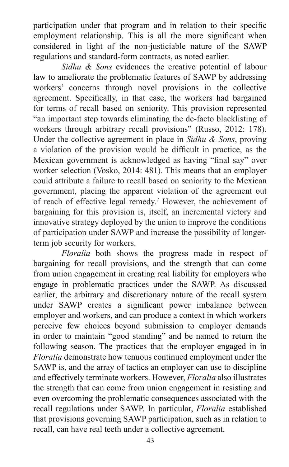participation under that program and in relation to their specific employment relationship. This is all the more significant when considered in light of the non-justiciable nature of the SAWP regulations and standard-form contracts, as noted earlier.

*Sidhu & Sons* evidences the creative potential of labour law to ameliorate the problematic features of SAWP by addressing workers' concerns through novel provisions in the collective agreement. Specifically, in that case, the workers had bargained for terms of recall based on seniority. This provision represented "an important step towards eliminating the de-facto blacklisting of workers through arbitrary recall provisions" (Russo, 2012: 178). Under the collective agreement in place in *Sidhu & Sons*, proving a violation of the provision would be difficult in practice, as the Mexican government is acknowledged as having "final say" over worker selection (Vosko, 2014: 481). This means that an employer could attribute a failure to recall based on seniority to the Mexican government, placing the apparent violation of the agreement out of reach of effective legal remedy.7 However, the achievement of bargaining for this provision is, itself, an incremental victory and innovative strategy deployed by the union to improve the conditions of participation under SAWP and increase the possibility of longerterm job security for workers.

*Floralia* both shows the progress made in respect of bargaining for recall provisions, and the strength that can come from union engagement in creating real liability for employers who engage in problematic practices under the SAWP. As discussed earlier, the arbitrary and discretionary nature of the recall system under SAWP creates a significant power imbalance between employer and workers, and can produce a context in which workers perceive few choices beyond submission to employer demands in order to maintain "good standing" and be named to return the following season. The practices that the employer engaged in in *Floralia* demonstrate how tenuous continued employment under the SAWP is, and the array of tactics an employer can use to discipline and effectively terminate workers. However, *Floralia* also illustrates the strength that can come from union engagement in resisting and even overcoming the problematic consequences associated with the recall regulations under SAWP. In particular, *Floralia* established that provisions governing SAWP participation, such as in relation to recall, can have real teeth under a collective agreement.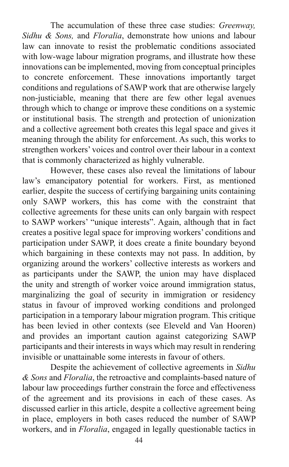The accumulation of these three case studies: *Greenway, Sidhu & Sons,* and *Floralia*, demonstrate how unions and labour law can innovate to resist the problematic conditions associated with low-wage labour migration programs, and illustrate how these innovations can be implemented, moving from conceptual principles to concrete enforcement. These innovations importantly target conditions and regulations of SAWP work that are otherwise largely non-justiciable, meaning that there are few other legal avenues through which to change or improve these conditions on a systemic or institutional basis. The strength and protection of unionization and a collective agreement both creates this legal space and gives it meaning through the ability for enforcement. As such, this works to strengthen workers' voices and control over their labour in a context that is commonly characterized as highly vulnerable.

However, these cases also reveal the limitations of labour law's emancipatory potential for workers. First, as mentioned earlier, despite the success of certifying bargaining units containing only SAWP workers, this has come with the constraint that collective agreements for these units can only bargain with respect to SAWP workers' "unique interests". Again, although that in fact creates a positive legal space for improving workers' conditions and participation under SAWP, it does create a finite boundary beyond which bargaining in these contexts may not pass. In addition, by organizing around the workers' collective interests as workers and as participants under the SAWP, the union may have displaced the unity and strength of worker voice around immigration status, marginalizing the goal of security in immigration or residency status in favour of improved working conditions and prolonged participation in a temporary labour migration program. This critique has been levied in other contexts (see Eleveld and Van Hooren) and provides an important caution against categorizing SAWP participants and their interests in ways which may result in rendering invisible or unattainable some interests in favour of others.

Despite the achievement of collective agreements in *Sidhu & Sons* and *Floralia*, the retroactive and complaints-based nature of labour law proceedings further constrain the force and effectiveness of the agreement and its provisions in each of these cases. As discussed earlier in this article, despite a collective agreement being in place, employers in both cases reduced the number of SAWP workers, and in *Floralia*, engaged in legally questionable tactics in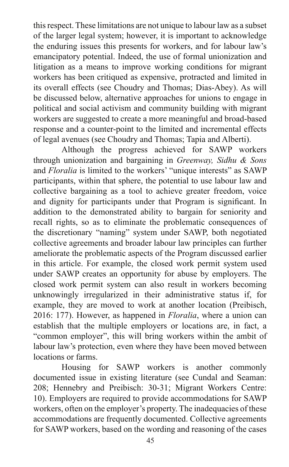this respect. These limitations are not unique to labour law as a subset of the larger legal system; however, it is important to acknowledge the enduring issues this presents for workers, and for labour law's emancipatory potential. Indeed, the use of formal unionization and litigation as a means to improve working conditions for migrant workers has been critiqued as expensive, protracted and limited in its overall effects (see Choudry and Thomas; Dias-Abey). As will be discussed below, alternative approaches for unions to engage in political and social activism and community building with migrant workers are suggested to create a more meaningful and broad-based response and a counter-point to the limited and incremental effects of legal avenues (see Choudry and Thomas; Tapia and Alberti).

Although the progress achieved for SAWP workers through unionization and bargaining in *Greenway, Sidhu & Sons* and *Floralia* is limited to the workers' "unique interests" as SAWP participants, within that sphere, the potential to use labour law and collective bargaining as a tool to achieve greater freedom, voice and dignity for participants under that Program is significant. In addition to the demonstrated ability to bargain for seniority and recall rights, so as to eliminate the problematic consequences of the discretionary "naming" system under SAWP, both negotiated collective agreements and broader labour law principles can further ameliorate the problematic aspects of the Program discussed earlier in this article. For example, the closed work permit system used under SAWP creates an opportunity for abuse by employers. The closed work permit system can also result in workers becoming unknowingly irregularized in their administrative status if, for example, they are moved to work at another location (Preibisch, 2016: 177). However, as happened in *Floralia*, where a union can establish that the multiple employers or locations are, in fact, a "common employer", this will bring workers within the ambit of labour law's protection, even where they have been moved between locations or farms.

Housing for SAWP workers is another commonly documented issue in existing literature (see Cundal and Seaman: 208; Hennebry and Preibisch: 30-31; Migrant Workers Centre: 10). Employers are required to provide accommodations for SAWP workers, often on the employer's property. The inadequacies of these accommodations are frequently documented. Collective agreements for SAWP workers, based on the wording and reasoning of the cases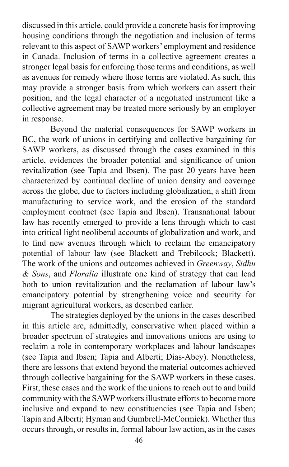discussed in this article, could provide a concrete basis for improving housing conditions through the negotiation and inclusion of terms relevant to this aspect of SAWP workers' employment and residence in Canada. Inclusion of terms in a collective agreement creates a stronger legal basis for enforcing those terms and conditions, as well as avenues for remedy where those terms are violated. As such, this may provide a stronger basis from which workers can assert their position, and the legal character of a negotiated instrument like a collective agreement may be treated more seriously by an employer in response.

Beyond the material consequences for SAWP workers in BC, the work of unions in certifying and collective bargaining for SAWP workers, as discussed through the cases examined in this article, evidences the broader potential and significance of union revitalization (see Tapia and Ibsen). The past 20 years have been characterized by continual decline of union density and coverage across the globe, due to factors including globalization, a shift from manufacturing to service work, and the erosion of the standard employment contract (see Tapia and Ibsen). Transnational labour law has recently emerged to provide a lens through which to cast into critical light neoliberal accounts of globalization and work, and to find new avenues through which to reclaim the emancipatory potential of labour law (see Blackett and Trebilcock; Blackett). The work of the unions and outcomes achieved in *Greenway*, *Sidhu & Sons*, and *Floralia* illustrate one kind of strategy that can lead both to union revitalization and the reclamation of labour law's emancipatory potential by strengthening voice and security for migrant agricultural workers, as described earlier.

The strategies deployed by the unions in the cases described in this article are, admittedly, conservative when placed within a broader spectrum of strategies and innovations unions are using to reclaim a role in contemporary workplaces and labour landscapes (see Tapia and Ibsen; Tapia and Alberti; Dias-Abey). Nonetheless, there are lessons that extend beyond the material outcomes achieved through collective bargaining for the SAWP workers in these cases. First, these cases and the work of the unions to reach out to and build community with the SAWP workers illustrate efforts to become more inclusive and expand to new constituencies (see Tapia and Isben; Tapia and Alberti; Hyman and Gumbrell-McCormick). Whether this occurs through, or results in, formal labour law action, as in the cases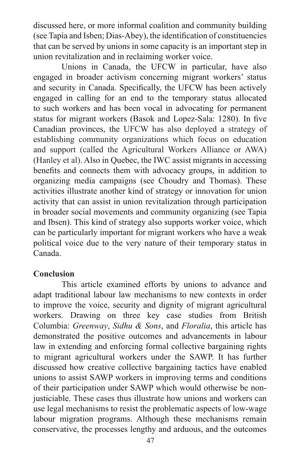discussed here, or more informal coalition and community building (see Tapia and Isben; Dias-Abey), the identification of constituencies that can be served by unions in some capacity is an important step in union revitalization and in reclaiming worker voice.

Unions in Canada, the UFCW in particular, have also engaged in broader activism concerning migrant workers' status and security in Canada. Specifically, the UFCW has been actively engaged in calling for an end to the temporary status allocated to such workers and has been vocal in advocating for permanent status for migrant workers (Basok and Lopez-Sala: 1280). In five Canadian provinces, the UFCW has also deployed a strategy of establishing community organizations which focus on education and support (called the Agricultural Workers Alliance or AWA) (Hanley et al). Also in Quebec, the IWC assist migrants in accessing benefits and connects them with advocacy groups, in addition to organizing media campaigns (see Choudry and Thomas). These activities illustrate another kind of strategy or innovation for union activity that can assist in union revitalization through participation in broader social movements and community organizing (see Tapia and Ibsen). This kind of strategy also supports worker voice, which can be particularly important for migrant workers who have a weak political voice due to the very nature of their temporary status in Canada.

## **Conclusion**

This article examined efforts by unions to advance and adapt traditional labour law mechanisms to new contexts in order to improve the voice, security and dignity of migrant agricultural workers. Drawing on three key case studies from British Columbia: *Greenway*, *Sidhu & Sons*, and *Floralia*, this article has demonstrated the positive outcomes and advancements in labour law in extending and enforcing formal collective bargaining rights to migrant agricultural workers under the SAWP. It has further discussed how creative collective bargaining tactics have enabled unions to assist SAWP workers in improving terms and conditions of their participation under SAWP which would otherwise be nonjusticiable. These cases thus illustrate how unions and workers can use legal mechanisms to resist the problematic aspects of low-wage labour migration programs. Although these mechanisms remain conservative, the processes lengthy and arduous, and the outcomes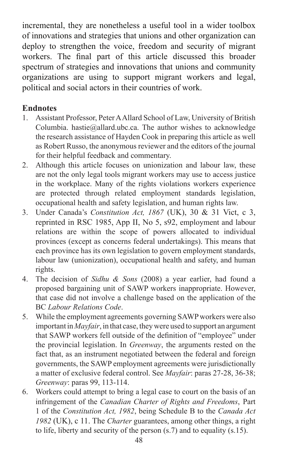incremental, they are nonetheless a useful tool in a wider toolbox of innovations and strategies that unions and other organization can deploy to strengthen the voice, freedom and security of migrant workers. The final part of this article discussed this broader spectrum of strategies and innovations that unions and community organizations are using to support migrant workers and legal, political and social actors in their countries of work.

# **Endnotes**

- 1. Assistant Professor, Peter A Allard School of Law, University of British Columbia. hastie@allard.ubc.ca. The author wishes to acknowledge the research assistance of Hayden Cook in preparing this article as well as Robert Russo, the anonymous reviewer and the editors of the journal for their helpful feedback and commentary.
- 2. Although this article focuses on unionization and labour law, these are not the only legal tools migrant workers may use to access justice in the workplace. Many of the rights violations workers experience are protected through related employment standards legislation, occupational health and safety legislation, and human rights law.
- 3. Under Canada's *Constitution Act, 1867* (UK), 30 & 31 Vict, c 3, reprinted in RSC 1985, App II, No 5, s92, employment and labour relations are within the scope of powers allocated to individual provinces (except as concerns federal undertakings). This means that each province has its own legislation to govern employment standards, labour law (unionization), occupational health and safety, and human rights.
- 4. The decision of *Sidhu & Sons* (2008) a year earlier, had found a proposed bargaining unit of SAWP workers inappropriate. However, that case did not involve a challenge based on the application of the BC *Labour Relations Code*.
- 5. While the employment agreements governing SAWP workers were also important in *Mayfair*, in that case, they were used to support an argument that SAWP workers fell outside of the definition of "employee" under the provincial legislation. In *Greenway*, the arguments rested on the fact that, as an instrument negotiated between the federal and foreign governments, the SAWP employment agreements were jurisdictionally a matter of exclusive federal control. See *Mayfair*: paras 27-28, 36-38; *Greenway*: paras 99, 113-114.
- 6. Workers could attempt to bring a legal case to court on the basis of an infringement of the *Canadian Charter of Rights and Freedoms*, Part 1 of the *Constitution Act, 1982*, being Schedule B to the *Canada Act 1982* (UK), c 11. The *Charter* guarantees, among other things, a right to life, liberty and security of the person (s.7) and to equality (s.15).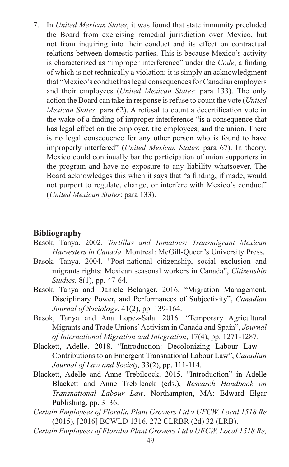7. In *United Mexican States*, it was found that state immunity precluded the Board from exercising remedial jurisdiction over Mexico, but not from inquiring into their conduct and its effect on contractual relations between domestic parties. This is because Mexico's activity is characterized as "improper interference" under the *Code*, a finding of which is not technically a violation; it is simply an acknowledgment that "Mexico's conduct has legal consequences for Canadian employers and their employees (*United Mexican States*: para 133). The only action the Board can take in response is refuse to count the vote (*United Mexican States*: para 62). A refusal to count a decertification vote in the wake of a finding of improper interference "is a consequence that has legal effect on the employer, the employees, and the union. There is no legal consequence for any other person who is found to have improperly interfered" (*United Mexican States*: para 67). In theory, Mexico could continually bar the participation of union supporters in the program and have no exposure to any liability whatsoever. The Board acknowledges this when it says that "a finding, if made, would not purport to regulate, change, or interfere with Mexico's conduct" (*United Mexican States*: para 133).

#### **Bibliography**

- Basok, Tanya. 2002. *Tortillas and Tomatoes: Transmigrant Mexican Harvesters in Canada.* Montreal: McGill-Queen's University Press.
- Basok, Tanya. 2004. "Post-national citizenship, social exclusion and migrants rights: Mexican seasonal workers in Canada", *Citizenship Studies,* 8(1), pp. 47-64.
- Basok, Tanya and Daniele Belanger. 2016. "Migration Management, Disciplinary Power, and Performances of Subjectivity", *Canadian Journal of Sociology*, 41(2), pp. 139-164.
- Basok, Tanya and Ana Lopez-Sala. 2016. "Temporary Agricultural Migrants and Trade Unions' Activism in Canada and Spain", *Journal of International Migration and Integration*, 17(4), pp. 1271-1287.
- Blackett, Adelle. 2018. "Introduction: Decolonizing Labour Law Contributions to an Emergent Transnational Labour Law", *Canadian Journal of Law and Society,* 33(2), pp. 111-114.
- Blackett, Adelle and Anne Trebilcock. 2015. "Introduction" in Adelle Blackett and Anne Trebilcock (eds.), *Research Handbook on Transnational Labour Law*. Northampton, MA: Edward Elgar Publishing, pp. 3–36.
- *Certain Employees of Floralia Plant Growers Ltd v UFCW, Local 1518 Re* (2015)*,* [2016] BCWLD 1316, 272 CLRBR (2d) 32 (LRB).
- *Certain Employees of Floralia Plant Growers Ltd v UFCW, Local 1518 Re,*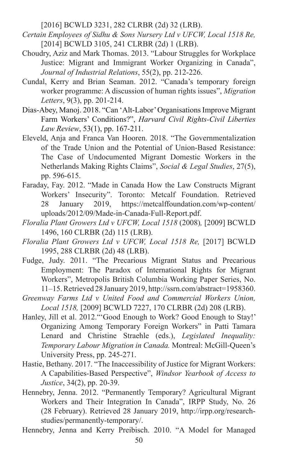[2016] BCWLD 3231, 282 CLRBR (2d) 32 (LRB).

- *Certain Employees of Sidhu & Sons Nursery Ltd v UFCW, Local 1518 Re,* [2014] BCWLD 3105, 241 CLRBR (2d) 1 (LRB).
- Choudry, Aziz and Mark Thomas. 2013. "Labour Struggles for Workplace Justice: Migrant and Immigrant Worker Organizing in Canada", *Journal of Industrial Relations*, 55(2), pp. 212-226.
- Cundal, Kerry and Brian Seaman. 2012. "Canada's temporary foreign worker programme: A discussion of human rights issues", *Migration Letters*, 9(3), pp. 201-214.
- Dias-Abey, Manoj. 2018. "Can 'Alt-Labor' Organisations Improve Migrant Farm Workers' Conditions?", *Harvard Civil Rights-Civil Liberties Law Review*, 53(1), pp. 167-211.
- Eleveld, Anja and Franca Van Hooren. 2018. "The Governmentalization of the Trade Union and the Potential of Union-Based Resistance: The Case of Undocumented Migrant Domestic Workers in the Netherlands Making Rights Claims", *Social & Legal Studies*, 27(5), pp. 596-615.
- Faraday, Fay. 2012. "Made in Canada How the Law Constructs Migrant Workers' Insecurity". Toronto: Metcalf Foundation. Retrieved 28 January 2019, https://metcalffoundation.com/wp-content/ uploads/2012/09/Made-in-Canada-Full-Report.pdf.
- *Floralia Plant Growers Ltd v UFCW, Local 1518* (2008)*,* [2009] BCWLD 1496, 160 CLRBR (2d) 115 (LRB).
- *Floralia Plant Growers Ltd v UFCW, Local 1518 Re,* [2017] BCWLD 1995, 288 CLRBR (2d) 48 (LRB).
- Fudge, Judy. 2011. "The Precarious Migrant Status and Precarious Employment: The Paradox of International Rights for Migrant Workers", Metropolis British Columbia Working Paper Series, No. 11–15. Retrieved 28 January 2019, http://ssrn.com/abstract=1958360.
- *Greenway Farms Ltd v United Food and Commercial Workers Union, Local 1518,* [2009] BCWLD 7227, 170 CLRBR (2d) 208 (LRB).
- Hanley, Jill et al. 2012."'Good Enough to Work? Good Enough to Stay!' Organizing Among Temporary Foreign Workers" in Patti Tamara Lenard and Christine Straehle (eds.), *Legislated Inequality: Temporary Labour Migration in Canada.* Montreal: McGill-Queen's University Press, pp. 245-271.
- Hastie, Bethany. 2017. "The Inaccessibility of Justice for Migrant Workers: A Capabilities-Based Perspective", *Windsor Yearbook of Access to Justice*, 34(2), pp. 20-39.
- Hennebry, Jenna. 2012. "Permanently Temporary? Agricultural Migrant Workers and Their Integration In Canada", IRPP Study, No. 26 (28 February). Retrieved 28 January 2019, http://irpp.org/researchstudies/permanently-temporary/.
- Hennebry, Jenna and Kerry Preibisch. 2010. "A Model for Managed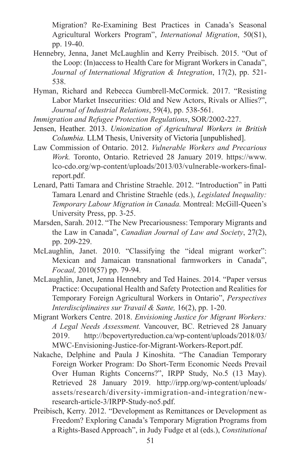Migration? Re-Examining Best Practices in Canada's Seasonal Agricultural Workers Program", *International Migration*, 50(S1), pp. 19-40.

- Hennebry, Jenna, Janet McLaughlin and Kerry Preibisch. 2015. "Out of the Loop: (In)access to Health Care for Migrant Workers in Canada", *Journal of International Migration & Integration*, 17(2), pp. 521- 538.
- Hyman, Richard and Rebecca Gumbrell-McCormick. 2017. "Resisting Labor Market Insecurities: Old and New Actors, Rivals or Allies?", *Journal of Industrial Relations*, 59(4), pp. 538-561.

*Immigration and Refugee Protection Regulations*, SOR/2002-227.

- Jensen, Heather. 2013. *Unionization of Agricultural Workers in British Columbia.* LLM Thesis, University of Victoria [unpublished].
- Law Commission of Ontario. 2012. *Vulnerable Workers and Precarious Work.* Toronto, Ontario. Retrieved 28 January 2019. https://www. lco-cdo.org/wp-content/uploads/2013/03/vulnerable-workers-finalreport.pdf.
- Lenard, Patti Tamara and Christine Straehle. 2012. "Introduction" in Patti Tamara Lenard and Christine Straehle (eds.), *Legislated Inequality: Temporary Labour Migration in Canada.* Montreal: McGill-Queen's University Press, pp. 3-25.
- Marsden, Sarah. 2012. "The New Precariousness: Temporary Migrants and the Law in Canada", *Canadian Journal of Law and Society*, 27(2), pp. 209-229.
- McLaughlin, Janet. 2010. "Classifying the "ideal migrant worker": Mexican and Jamaican transnational farmworkers in Canada", *Focaal,* 2010(57) pp. 79-94.
- McLaughlin, Janet, Jenna Hennebry and Ted Haines. 2014. "Paper versus Practice: Occupational Health and Safety Protection and Realities for Temporary Foreign Agricultural Workers in Ontario", *Perspectives Interdisciplinaires sur Travail & Sante,* 16(2), pp. 1-20.
- Migrant Workers Centre. 2018. *Envisioning Justice for Migrant Workers: A Legal Needs Assessment.* Vancouver, BC. Retrieved 28 January 2019. http://bcpovertyreduction.ca/wp-content/uploads/2018/03/ MWC-Envisioning-Justice-for-Migrant-Workers-Report.pdf.
- Nakache, Delphine and Paula J Kinoshita. "The Canadian Temporary Foreign Worker Program: Do Short-Term Economic Needs Prevail Over Human Rights Concerns?", IRPP Study, No.5 (13 May). Retrieved 28 January 2019. http://irpp.org/wp-content/uploads/ assets/research/diversity-immigration-and-integration/newresearch-article-3/IRPP-Study-no5.pdf.
- Preibisch, Kerry. 2012. "Development as Remittances or Development as Freedom? Exploring Canada's Temporary Migration Programs from a Rights-Based Approach", in Judy Fudge et al (eds.), *Constitutional*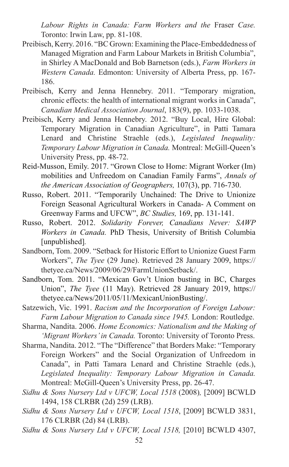*Labour Rights in Canada: Farm Workers and the* Fraser *Case.*  Toronto: Irwin Law, pp. 81-108.

- Preibisch, Kerry. 2016. "BC Grown: Examining the Place-Embeddedness of Managed Migration and Farm Labour Markets in British Columbia", in Shirley A MacDonald and Bob Barnetson (eds.), *Farm Workers in Western Canada.* Edmonton: University of Alberta Press, pp. 167- 186.
- Preibisch, Kerry and Jenna Hennebry. 2011. "Temporary migration, chronic effects: the health of international migrant works in Canada", *Canadian Medical Association Journal*, 183(9), pp. 1033-1038.
- Preibisch, Kerry and Jenna Hennebry. 2012. "Buy Local, Hire Global: Temporary Migration in Canadian Agriculture", in Patti Tamara Lenard and Christine Straehle (eds.), *Legislated Inequality: Temporary Labour Migration in Canada.* Montreal: McGill-Queen's University Press, pp. 48-72.
- Reid-Musson, Emily. 2017. "Grown Close to Home: Migrant Worker (Im) mobilities and Unfreedom on Canadian Family Farms", *Annals of the American Association of Geographers,* 107(3), pp. 716-730.
- Russo, Robert. 2011. "Temporarily Unchained: The Drive to Unionize Foreign Seasonal Agricultural Workers in Canada- A Comment on Greenway Farms and UFCW", *BC Studies,* 169, pp. 131-141.
- Russo, Robert. 2012. *Solidarity Forever, Canadians Never: SAWP Workers in Canada.* PhD Thesis, University of British Columbia [unpublished].
- Sandborn, Tom. 2009. "Setback for Historic Effort to Unionize Guest Farm Workers", *The Tyee* (29 June). Retrieved 28 January 2009, https:// thetyee.ca/News/2009/06/29/FarmUnionSetback/.
- Sandborn, Tom. 2011. "Mexican Gov't Union busting in BC, Charges Union", *The Tyee* (11 May). Retrieved 28 January 2019, https:// thetyee.ca/News/2011/05/11/MexicanUnionBusting/.
- Satzewich, Vic. 1991. *Racism and the Incorporation of Foreign Labour: Farm Labour Migration to Canada since 1945.* London: Routledge.
- Sharma, Nandita. 2006. *Home Economics: Nationalism and the Making of 'Migrant Workers' in Canada.* Toronto: University of Toronto Press.
- Sharma, Nandita. 2012. "The "Difference" that Borders Make: "Temporary Foreign Workers" and the Social Organization of Unfreedom in Canada", in Patti Tamara Lenard and Christine Straehle (eds.), *Legislated Inequality: Temporary Labour Migration in Canada.*  Montreal: McGill-Queen's University Press, pp. 26-47.
- *Sidhu & Sons Nursery Ltd v UFCW, Local 1518* (2008)*,* [2009] BCWLD 1494, 158 CLRBR (2d) 259 (LRB).
- *Sidhu & Sons Nursery Ltd v UFCW, Local 1518*, [2009] BCWLD 3831, 176 CLRBR (2d) 84 (LRB).
- *Sidhu & Sons Nursery Ltd v UFCW, Local 1518,* [2010] BCWLD 4307,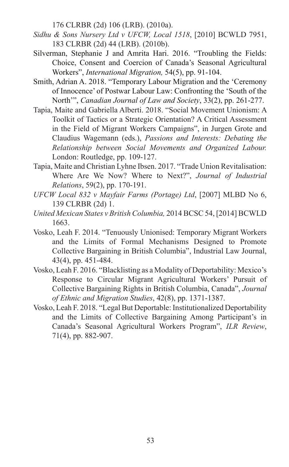176 CLRBR (2d) 106 (LRB). (2010a).

- *Sidhu & Sons Nursery Ltd v UFCW, Local 1518*, [2010] BCWLD 7951, 183 CLRBR (2d) 44 (LRB). (2010b).
- Silverman, Stephanie J and Amrita Hari. 2016. "Troubling the Fields: Choice, Consent and Coercion of Canada's Seasonal Agricultural Workers", *International Migration,* 54(5), pp. 91-104.
- Smith, Adrian A. 2018. "Temporary Labour Migration and the 'Ceremony of Innocence' of Postwar Labour Law: Confronting the 'South of the North'", *Canadian Journal of Law and Society*, 33(2), pp. 261-277.
- Tapia, Maite and Gabriella Alberti. 2018. "Social Movement Unionism: A Toolkit of Tactics or a Strategic Orientation? A Critical Assessment in the Field of Migrant Workers Campaigns", in Jurgen Grote and Claudius Wagemann (eds.), *Passions and Interests: Debating the Relationship between Social Movements and Organized Labour.*  London: Routledge, pp. 109-127.
- Tapia, Maite and Christian Lyhne Ibsen. 2017. "Trade Union Revitalisation: Where Are We Now? Where to Next?", *Journal of Industrial Relations*, 59(2), pp. 170-191.
- *UFCW Local 832 v Mayfair Farms (Portage) Ltd*, [2007] MLBD No 6, 139 CLRBR (2d) 1.
- *United Mexican States v British Columbia,* 2014 BCSC 54, [2014] BCWLD 1663.
- Vosko, Leah F. 2014. "Tenuously Unionised: Temporary Migrant Workers and the Limits of Formal Mechanisms Designed to Promote Collective Bargaining in British Columbia", Industrial Law Journal, 43(4), pp. 451-484.
- Vosko, Leah F. 2016. "Blacklisting as a Modality of Deportability: Mexico's Response to Circular Migrant Agricultural Workers' Pursuit of Collective Bargaining Rights in British Columbia, Canada", *Journal of Ethnic and Migration Studies*, 42(8), pp. 1371-1387.
- Vosko, Leah F. 2018. "Legal But Deportable: Institutionalized Deportability and the Limits of Collective Bargaining Among Participant's in Canada's Seasonal Agricultural Workers Program", *ILR Review*, 71(4), pp. 882-907.